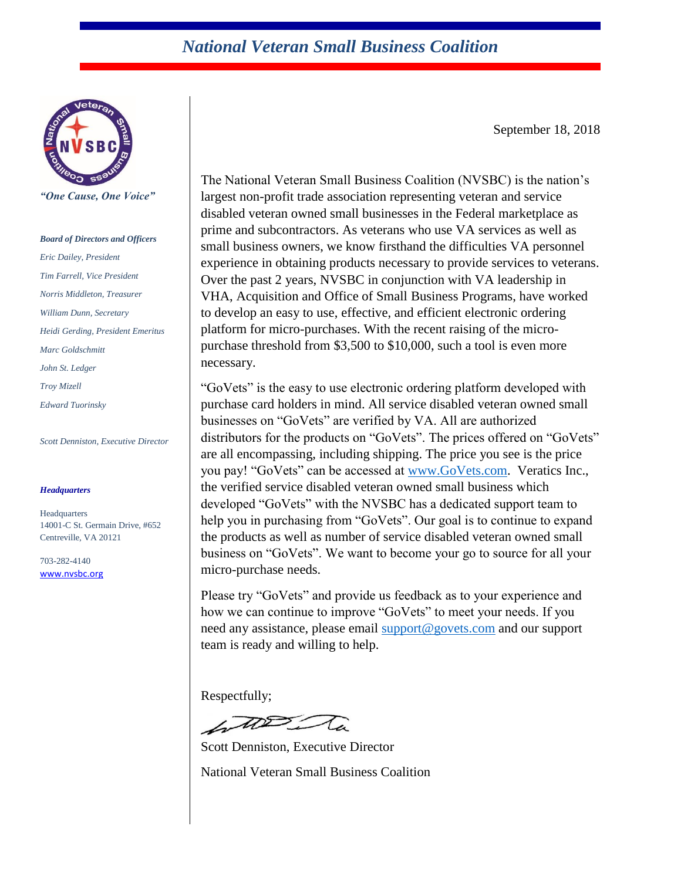#### *National Veteran Small Business Coalition*



*"One Cause, One Voice"*

#### *Board of Directors and Officers*

*Eric Dailey, President Tim Farrell, Vice President Norris Middleton, Treasurer William Dunn, Secretary Heidi Gerding, President Emeritus Marc Goldschmitt John St. Ledger Troy Mizell Edward Tuorinsky*

*Scott Denniston, Executive Director*

#### *Headquarters*

**Headquarters** 14001-C St. Germain Drive, #652 Centreville, VA 20121

703-282-4140 [www.nvsbc.org](http://www.nvsbc.org/) September 18, 2018

The National Veteran Small Business Coalition (NVSBC) is the nation's largest non-profit trade association representing veteran and service disabled veteran owned small businesses in the Federal marketplace as prime and subcontractors. As veterans who use VA services as well as small business owners, we know firsthand the difficulties VA personnel experience in obtaining products necessary to provide services to veterans. Over the past 2 years, NVSBC in conjunction with VA leadership in VHA, Acquisition and Office of Small Business Programs, have worked to develop an easy to use, effective, and efficient electronic ordering platform for micro-purchases. With the recent raising of the micropurchase threshold from \$3,500 to \$10,000, such a tool is even more necessary.

"GoVets" is the easy to use electronic ordering platform developed with purchase card holders in mind. All service disabled veteran owned small businesses on "GoVets" are verified by VA. All are authorized distributors for the products on "GoVets". The prices offered on "GoVets" are all encompassing, including shipping. The price you see is the price you pay! "GoVets" can be accessed at [www.GoVets.com.](http://www.govets.com/) Veratics Inc., the verified service disabled veteran owned small business which developed "GoVets" with the NVSBC has a dedicated support team to help you in purchasing from "GoVets". Our goal is to continue to expand the products as well as number of service disabled veteran owned small business on "GoVets". We want to become your go to source for all your micro-purchase needs.

Please try "GoVets" and provide us feedback as to your experience and how we can continue to improve "GoVets" to meet your needs. If you need any assistance, please email [support@govets.com](mailto:support@govets.com) and our support team is ready and willing to help.

Respectfully;

Scott Denniston, Executive Director National Veteran Small Business Coalition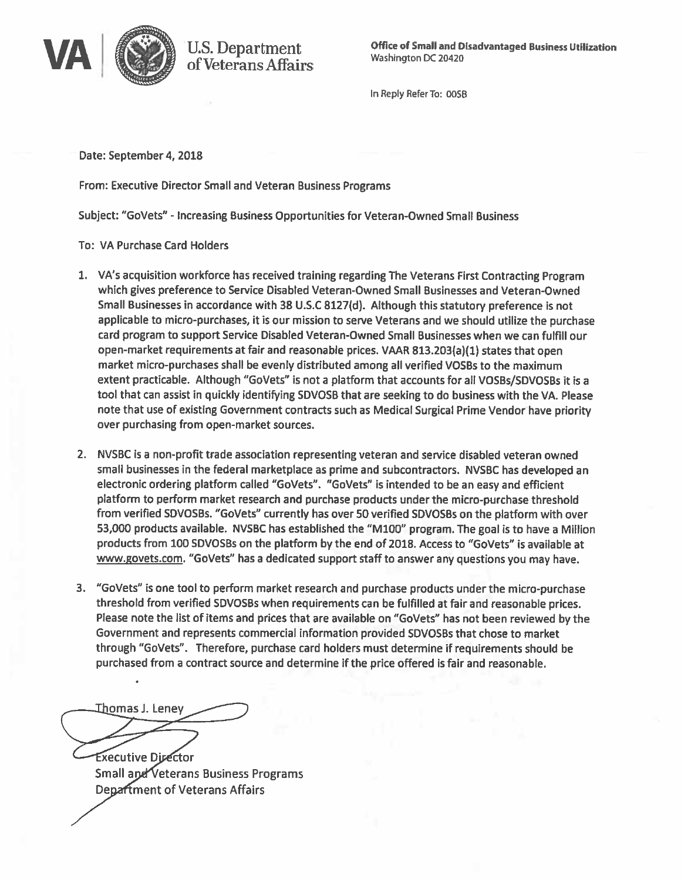

In Reply Refer To: 00SB

Date: September 4, 2018

From: Executive Director Small and Veteran Business Programs

**U.S. Department** 

of Veterans Affairs

Subject: "GoVets" - Increasing Business Opportunities for Veteran-Owned Small Business

**To: VA Purchase Card Holders** 

- 1. VA's acquisition workforce has received training regarding The Veterans First Contracting Program which gives preference to Service Disabled Veteran-Owned Small Businesses and Veteran-Owned Small Businesses in accordance with 38 U.S.C 8127(d). Although this statutory preference is not applicable to micro-purchases, it is our mission to serve Veterans and we should utilize the purchase card program to support Service Disabled Veteran-Owned Small Businesses when we can fulfill our open-market requirements at fair and reasonable prices. VAAR 813.203(a)(1) states that open market micro-purchases shall be evenly distributed among all verified VOSBs to the maximum extent practicable. Although "GoVets" is not a platform that accounts for all VOSBs/SDVOSBs it is a tool that can assist in quickly identifying SDVOSB that are seeking to do business with the VA. Please note that use of existing Government contracts such as Medical Surgical Prime Vendor have priority over purchasing from open-market sources.
- 2. NVSBC is a non-profit trade association representing veteran and service disabled veteran owned small businesses in the federal marketplace as prime and subcontractors. NVSBC has developed an electronic ordering platform called "GoVets". "GoVets" is intended to be an easy and efficient platform to perform market research and purchase products under the micro-purchase threshold from verified SDVOSBs. "GoVets" currently has over 50 verified SDVOSBs on the platform with over 53,000 products available. NVSBC has established the "M100" program. The goal is to have a Million products from 100 SDVOSBs on the platform by the end of 2018. Access to "GoVets" is available at www.govets.com. "GoVets" has a dedicated support staff to answer any questions you may have.
- 3. "GoVets" is one tool to perform market research and purchase products under the micro-purchase threshold from verified SDVOSBs when requirements can be fulfilled at fair and reasonable prices. Please note the list of items and prices that are available on "GoVets" has not been reviewed by the Government and represents commercial information provided SDVOSBs that chose to market through "GoVets". Therefore, purchase card holders must determine if requirements should be purchased from a contract source and determine if the price offered is fair and reasonable.

工<u>h</u>omas J. Leney

**Executive Director** Small and Veterans Business Programs **Department of Veterans Affairs**